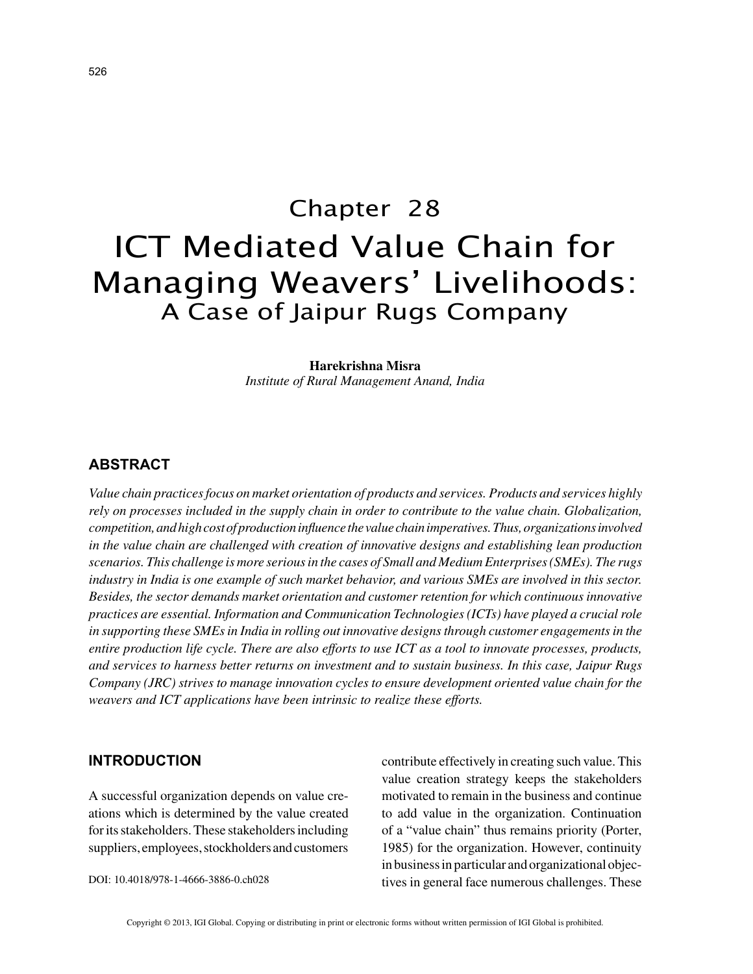# Chapter 28 ICT Mediated Value Chain for Managing Weavers' Livelihoods: A Case of Jaipur Rugs Company

#### **Harekrishna Misra**

*Institute of Rural Management Anand, India*

## **ABSTRACT**

*Value chain practices focus on market orientation of products and services. Products and services highly rely on processes included in the supply chain in order to contribute to the value chain. Globalization, competition, and high cost of production influence the value chain imperatives. Thus, organizations involved in the value chain are challenged with creation of innovative designs and establishing lean production scenarios. This challenge is more serious in the cases of Small and Medium Enterprises (SMEs). The rugs industry in India is one example of such market behavior, and various SMEs are involved in this sector. Besides, the sector demands market orientation and customer retention for which continuous innovative practices are essential. Information and Communication Technologies (ICTs) have played a crucial role in supporting these SMEs in India in rolling out innovative designs through customer engagements in the entire production life cycle. There are also efforts to use ICT as a tool to innovate processes, products, and services to harness better returns on investment and to sustain business. In this case, Jaipur Rugs Company (JRC) strives to manage innovation cycles to ensure development oriented value chain for the weavers and ICT applications have been intrinsic to realize these efforts.*

## **INTRODUCTION**

A successful organization depends on value creations which is determined by the value created for its stakeholders. These stakeholders including suppliers, employees, stockholders and customers contribute effectively in creating such value. This value creation strategy keeps the stakeholders motivated to remain in the business and continue to add value in the organization. Continuation of a "value chain" thus remains priority (Porter, 1985) for the organization. However, continuity in business in particular and organizational objectives in general face numerous challenges. These

DOI: 10.4018/978-1-4666-3886-0.ch028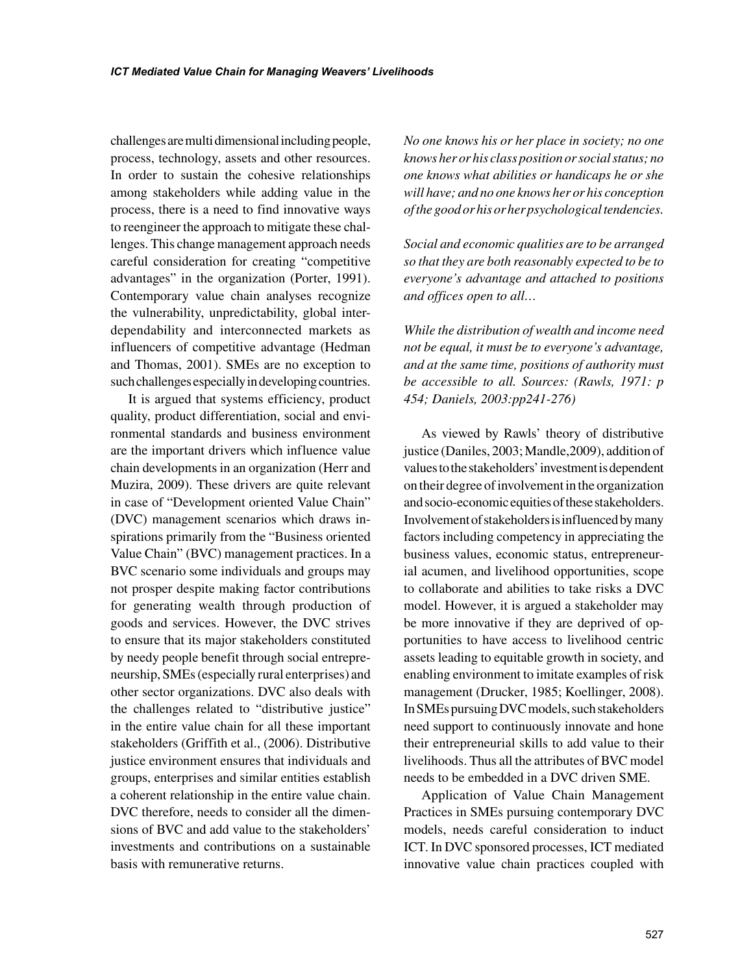challenges are multi dimensional including people, process, technology, assets and other resources. In order to sustain the cohesive relationships among stakeholders while adding value in the process, there is a need to find innovative ways to reengineer the approach to mitigate these challenges. This change management approach needs careful consideration for creating "competitive advantages" in the organization (Porter, 1991). Contemporary value chain analyses recognize the vulnerability, unpredictability, global interdependability and interconnected markets as influencers of competitive advantage (Hedman and Thomas, 2001). SMEs are no exception to such challenges especially in developing countries.

It is argued that systems efficiency, product quality, product differentiation, social and environmental standards and business environment are the important drivers which influence value chain developments in an organization (Herr and Muzira, 2009). These drivers are quite relevant in case of "Development oriented Value Chain" (DVC) management scenarios which draws inspirations primarily from the "Business oriented Value Chain" (BVC) management practices. In a BVC scenario some individuals and groups may not prosper despite making factor contributions for generating wealth through production of goods and services. However, the DVC strives to ensure that its major stakeholders constituted by needy people benefit through social entrepreneurship, SMEs (especially rural enterprises) and other sector organizations. DVC also deals with the challenges related to "distributive justice" in the entire value chain for all these important stakeholders (Griffith et al., (2006). Distributive justice environment ensures that individuals and groups, enterprises and similar entities establish a coherent relationship in the entire value chain. DVC therefore, needs to consider all the dimensions of BVC and add value to the stakeholders' investments and contributions on a sustainable basis with remunerative returns.

*No one knows his or her place in society; no one knows her or his class position or social status; no one knows what abilities or handicaps he or she will have; and no one knows her or his conception of the good or his or her psychological tendencies.*

*Social and economic qualities are to be arranged so that they are both reasonably expected to be to everyone's advantage and attached to positions and offices open to all…*

*While the distribution of wealth and income need not be equal, it must be to everyone's advantage, and at the same time, positions of authority must be accessible to all. Sources: (Rawls, 1971: p 454; Daniels, 2003:pp241-276)*

As viewed by Rawls' theory of distributive justice (Daniles, 2003; Mandle,2009), addition of values to the stakeholders' investment is dependent on their degree of involvement in the organization and socio-economic equities of these stakeholders. Involvement of stakeholders is influenced by many factors including competency in appreciating the business values, economic status, entrepreneurial acumen, and livelihood opportunities, scope to collaborate and abilities to take risks a DVC model. However, it is argued a stakeholder may be more innovative if they are deprived of opportunities to have access to livelihood centric assets leading to equitable growth in society, and enabling environment to imitate examples of risk management (Drucker, 1985; Koellinger, 2008). In SMEs pursuing DVC models, such stakeholders need support to continuously innovate and hone their entrepreneurial skills to add value to their livelihoods. Thus all the attributes of BVC model needs to be embedded in a DVC driven SME.

Application of Value Chain Management Practices in SMEs pursuing contemporary DVC models, needs careful consideration to induct ICT. In DVC sponsored processes, ICT mediated innovative value chain practices coupled with